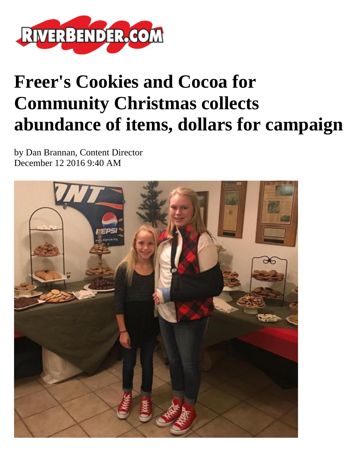

## **Freer's Cookies and Cocoa for Community Christmas collects abundance of items, dollars for campaign**

by Dan Brannan, Content Director December 12 2016 9:40 AM

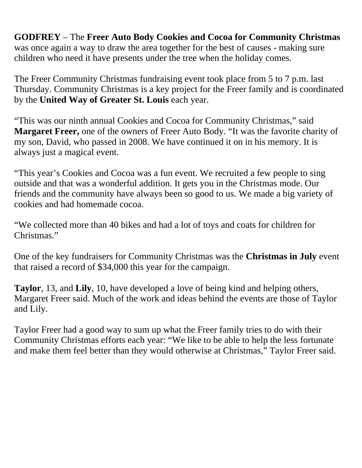**GODFREY** – The **Freer Auto Body Cookies and Cocoa for Community Christmas** was once again a way to draw the area together for the best of causes - making sure children who need it have presents under the tree when the holiday comes.

The Freer Community Christmas fundraising event took place from 5 to 7 p.m. last Thursday. Community Christmas is a key project for the Freer family and is coordinated by the **United Way of Greater St. Louis** each year.

"This was our ninth annual Cookies and Cocoa for Community Christmas," said **Margaret Freer,** one of the owners of Freer Auto Body. "It was the favorite charity of my son, David, who passed in 2008. We have continued it on in his memory. It is always just a magical event.

"This year's Cookies and Cocoa was a fun event. We recruited a few people to sing outside and that was a wonderful addition. It gets you in the Christmas mode. Our friends and the community have always been so good to us. We made a big variety of cookies and had homemade cocoa.

"We collected more than 40 bikes and had a lot of toys and coats for children for Christmas."

One of the key fundraisers for Community Christmas was the **Christmas in July** event that raised a record of \$34,000 this year for the campaign.

**Taylor**, 13, and **Lily**, 10, have developed a love of being kind and helping others, Margaret Freer said. Much of the work and ideas behind the events are those of Taylor and Lily.

Taylor Freer had a good way to sum up what the Freer family tries to do with their Community Christmas efforts each year: "We like to be able to help the less fortunate and make them feel better than they would otherwise at Christmas," Taylor Freer said.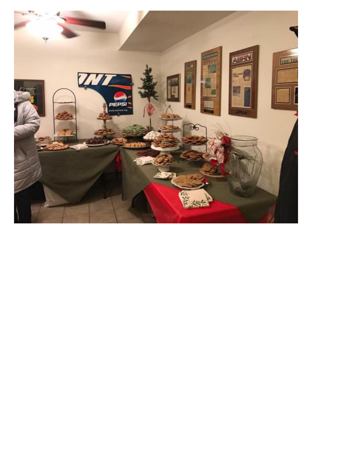